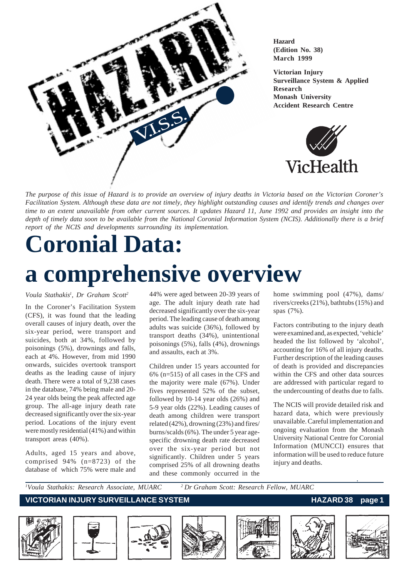

**Hazard (Edition No. 38) March 1999**

**Victorian Injury Surveillance System & Applied Research Monash University Accident Research Centre**



*The purpose of this issue of Hazard is to provide an overview of injury deaths in Victoria based on the Victorian Coroner's Facilitation System. Although these data are not timely, they highlight outstanding causes and identify trends and changes over time to an extent unavailable from other current sources. It updates Hazard 11, June 1992 and provides an insight into the depth of timely data soon to be available from the National Coronial Information System (NCIS). Additionally there is a brief report of the NCIS and developments surrounding its implementation.*

# **Coronial Data:**

# **a comprehensive overview**

*Voula Stathakis1 , Dr Graham Scott2*

In the Coroner's Facilitation System (CFS), it was found that the leading overall causes of injury death, over the six-year period, were transport and suicides, both at 34%, followed by poisonings (5%), drownings and falls, each at 4%. However, from mid 1990 onwards, suicides overtook transport deaths as the leading cause of injury death. There were a total of 9,238 cases in the database, 74% being male and 20- 24 year olds being the peak affected age group. The all-age injury death rate decreased significantly over the six-year period. Locations of the injury event were mostly residential (41%) and within transport areas (40%).

Adults, aged 15 years and above, comprised 94% (n=8723) of the database of which 75% were male and 44% were aged between 20-39 years of age. The adult injury death rate had decreased significantly over the six-year period. The leading cause of death among adults was suicide (36%), followed by transport deaths (34%), unintentional poisonings (5%), falls (4%), drownings and assaults, each at 3%.

Children under 15 years accounted for 6% (n=515) of all cases in the CFS and the majority were male (67%). Under fives represented 52% of the subset, followed by 10-14 year olds (26%) and 5-9 year olds (22%). Leading causes of death among children were transport related (42%), drowning (23%) and fires/ burns/scalds (6%). The under 5 year agespecific drowning death rate decreased over the six-year period but not significantly. Children under 5 years comprised 25% of all drowning deaths and these commonly occurred in the home swimming pool (47%), dams/ rivers/creeks (21%), bathtubs (15%) and spas (7%).

Factors contributing to the injury death were examined and, as expected, 'vehicle' headed the list followed by 'alcohol', accounting for 16% of all injury deaths. Further description of the leading causes of death is provided and discrepancies within the CFS and other data sources are addressed with particular regard to the undercounting of deaths due to falls.

The NCIS will provide detailed risk and hazard data, which were previously unavailable. Careful implementation and ongoing evaluation from the Monash University National Centre for Coronial Information (MUNCCI) ensures that information will be used to reduce future injury and deaths.

<sup>1</sup>Voula Stathakis: Research Associate, MUARC <sup>2</sup> Dr Graham Scott: Research Fellow, MUARC

### **VICTORIAN INJURY SURVEILLANCE SYSTEM AND REALLY CONTROLLY AND REALLY AND REALLY CONTROLLY AND REALLY AND REALLY**











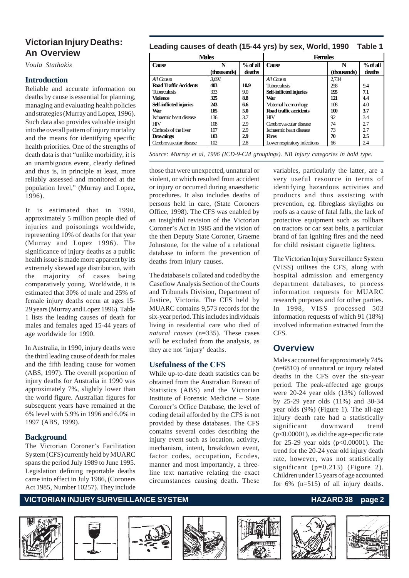# **An Overview**

*Voula Stathakis*

#### **Introduction**

Reliable and accurate information on deaths by cause is essential for planning, managing and evaluating health policies and strategies (Murray and Lopez, 1996). Such data also provides valuable insight into the overall pattern of injury mortality and the means for identifying specific health priorities. One of the strengths of death data is that "unlike morbidity, it is an unambiguous event, clearly defined and thus is, in principle at least, more reliably assessed and monitored at the population level," (Murray and Lopez, 1996).

It is estimated that in 1990, approximately 5 million people died of injuries and poisonings worldwide, representing 10% of deaths for that year (Murray and Lopez 1996). The significance of injury deaths as a public health issue is made more apparent by its extremely skewed age distribution, with the majority of cases being comparatively young. Worldwide, it is estimated that 30% of male and 25% of female injury deaths occur at ages 15- 29 years (Murray and Lopez 1996). Table 1 lists the leading causes of death for males and females aged 15-44 years of age worldwide for 1990.

In Australia, in 1990, injury deaths were the third leading cause of death for males and the fifth leading cause for women (ABS, 1997). The overall proportion of injury deaths for Australia in 1990 was approximately 7%, slightly lower than the world figure. Australian figures for subsequent years have remained at the 6% level with 5.9% in 1996 and 6.0% in 1997 (ABS, 1999).

#### **Background**

The Victorian Coroner's Facilitation System (CFS) currently held by MUARC spans the period July 1989 to June 1995. Legislation defining reportable deaths came into effect in July 1986, (Coroners Act 1985, Number 10257). They include

## **Leading causes of death (15-44 yrs) by sex, World, 1990 Table 1 Victorian Injury Deaths:**

| % of all<br>N<br>(thousands)<br>deaths | Cause                        | N<br>(thousands) | % of all |
|----------------------------------------|------------------------------|------------------|----------|
|                                        |                              |                  |          |
|                                        |                              |                  | deaths   |
|                                        | All Causes                   | 2.734            |          |
| 10.9                                   | <b>Tuberculosis</b>          | 258              | 9.4      |
| 9.0                                    | Self-inflicted injuries      | 195              | 7.1      |
| 88                                     | War                          | 121              | 4.4      |
| 6.6                                    | Maternal haemorrhage         | 108              | 4.0      |
| 5.0                                    | Road traffic accidents       | 100              | 3.7      |
| 3.7                                    | <b>HIV</b>                   | 92               | 3.4      |
| 2.9                                    | Cerebrovascular disease      | 74               | 2.7      |
| 2.9                                    | Ischaemic heart disease      | 73               | 2.7      |
| 2.9                                    | <b>Fires</b>                 | 70               | 2.5      |
| 2.8                                    | Lower respiratory infections | 66               | 2.4      |
|                                        |                              |                  |          |

*Source: Murray et al, 1996 (ICD-9-CM groupings). NB Injury categories in bold type.*

those that were unexpected, unnatural or violent, or which resulted from accident or injury or occurred during anaesthetic procedures. It also includes deaths of persons held in care, (State Coroners Office, 1998). The CFS was enabled by an insightful revision of the Victorian Coroner's Act in 1985 and the vision of the then Deputy State Coroner, Graeme Johnstone, for the value of a relational database to inform the prevention of deaths from injury causes.

The database is collated and coded by the Caseflow Analysis Section of the Courts and Tribunals Division, Department of Justice, Victoria. The CFS held by MUARC contains 9,573 records for the six-year period. This includes individuals living in residential care who died of *natural causes* (n=335). These cases will be excluded from the analysis, as they are not 'injury' deaths.

#### **Usefulness of the CFS**

While up-to-date death statistics can be obtained from the Australian Bureau of Statistics (ABS) and the Victorian Institute of Forensic Medicine – State Coroner's Office Database, the level of coding detail afforded by the CFS is not provided by these databases. The CFS contains several codes describing the injury event such as location, activity, mechanism, intent, breakdown event, factor codes, occupation, Ecodes, manner and most importantly, a threeline text narrative relating the exact circumstances causing death. These

variables, particularly the latter, are a very useful resource in terms of identifying hazardous activities and products and thus assisting with prevention, eg. fibreglass skylights on roofs as a cause of fatal falls, the lack of protective equipment such as rollbars on tractors or car seat belts, a particular brand of fan igniting fires and the need for child resistant cigarette lighters.

The Victorian Injury Surveillance System (VISS) utilises the CFS, along with hospital admission and emergency department databases, to process information requests for MUARC research purposes and for other parties. In 1998, VISS processed 503 information requests of which 91 (18%) involved information extracted from the CFS.

## **Overview**

Males accounted for approximately 74% (n=6810) of unnatural or injury related deaths in the CFS over the six-year period. The peak-affected age groups were 20-24 year olds (13%) followed by 25-29 year olds (11%) and 30-34 year olds (9%) (Figure 1). The all-age injury death rate had a statistically significant downward trend (p<0.00001), as did the age-specific rate for 25-29 year olds (p<0.00001). The trend for the 20-24 year old injury death rate, however, was not statistically significant (p=0.213) (Figure 2). Children under 15 years of age accounted for 6% (n=515) of all injury deaths.

#### **VICTORIAN INJURY SURVEILLANCE SYSTEM** And the state of the HAZARD 38 page 2











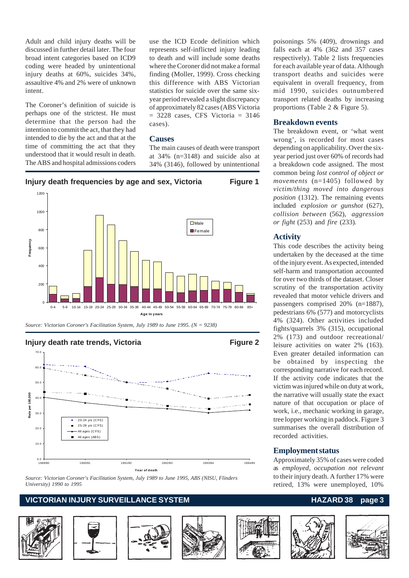Adult and child injury deaths will be discussed in further detail later. The four broad intent categories based on ICD9 coding were headed by unintentional injury deaths at 60%, suicides 34%, assaultive 4% and 2% were of unknown intent.

The Coroner's definition of suicide is perhaps one of the strictest. He must determine that the person had the intention to commit the act, that they had intended to die by the act and that at the time of committing the act that they understood that it would result in death. The ABS and hospital admissions coders

use the ICD Ecode definition which represents self-inflicted injury leading to death and will include some deaths where the Coroner did not make a formal finding (Moller, 1999). Cross checking this difference with ABS Victorian statistics for suicide over the same sixyear period revealed a slight discrepancy of approximately 82 cases (ABS Victoria  $= 3228$  cases, CFS Victoria  $= 3146$ cases).

#### **Causes**

The main causes of death were transport at 34% (n=3148) and suicide also at 34% (3146), followed by unintentional



*Source: Victorian Coroner's Facilitation System, July 1989 to June 1995. (N = 9238)*

**Injury death rate trends, Victoria <b>Figure 2** Figure 2



*Source: Victorian Coroner's Facilitation System, July 1989 to June 1995, ABS (NISU, Flinders University) 1990 to 1995*

#### **VICTORIAN INJURY SURVEILLANCE SYSTEM** And the state of the HAZARD 38 page 3









poisonings 5% (409), drownings and falls each at 4% (362 and 357 cases respectively). Table 2 lists frequencies for each available year of data. Although transport deaths and suicides were equivalent in overall frequency, from mid 1990, suicides outnumbered transport related deaths by increasing proportions (Table 2 & Figure 5).

#### **Breakdown events**

The breakdown event, or 'what went wrong', is recorded for most cases depending on applicability. Over the sixyear period just over 60% of records had a breakdown code assigned. The most common being *lost control of object or movements* (n=1405) followed by *victim/thing moved into dangerous position* (1312). The remaining events included *explosion or gunshot* (627), *collision between* (562), *aggression or fight* (253) and *fire* (233)*.*

#### **Activity**

This code describes the activity being undertaken by the deceased at the time of the injury event. As expected, intended self-harm and transportation accounted for over two thirds of the dataset. Closer scrutiny of the transportation activity revealed that motor vehicle drivers and passengers comprised 20% (n=1887), pedestrians 6% (577) and motorcyclists 4% (324). Other activities included fights/quarrels 3% (315), occupational 2% (173) and outdoor recreational/ leisure activities on water 2% (163). Even greater detailed information can be obtained by inspecting the corresponding narrative for each record. If the activity code indicates that the victim was injured while on duty at work, the narrative will usually state the exact nature of that occupation or place of work, i.e., mechanic working in garage, tree lopper working in paddock. Figure 3 summarises the overall distribution of recorded activities.

#### **Employment status**

Approximately 35% of cases were coded as *employed, occupation not relevant* to their injury death. A further 17% were retired, 13% were unemployed, 10%

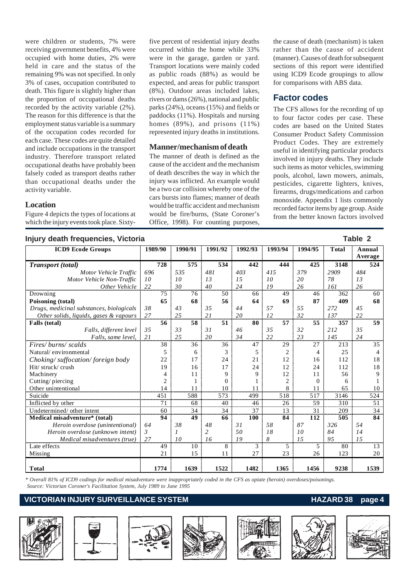were children or students, 7% were receiving government benefits, 4% were occupied with home duties, 2% were held in care and the status of the remaining 9% was not specified. In only 3% of cases, occupation contributed to death. This figure is slightly higher than the proportion of occupational deaths recorded by the activity variable (2%). The reason for this difference is that the employment status variable is a summary of the occupation codes recorded for each case. These codes are quite detailed and include occupations in the transport industry. Therefore transport related occupational deaths have probably been falsely coded as transport deaths rather than occupational deaths under the activity variable.

#### **Location**

Figure 4 depicts the types of locations at which the injury events took place. Sixty-

five percent of residential injury deaths occurred within the home while 33% were in the garage, garden or yard. Transport locations were mainly coded as public roads (88%) as would be expected, and areas for public transport (8%). Outdoor areas included lakes, rivers or dams (26%), national and public parks (24%), oceans (15%) and fields or paddocks (11%). Hospitals and nursing homes (89%), and prisons (11%) represented injury deaths in institutions.

#### **Manner/mechanism of death**

The manner of death is defined as the cause of the accident and the mechanism of death describes the way in which the injury was inflicted. An example would be a two car collision whereby one of the cars bursts into flames; manner of death would be traffic accident and mechanism would be fire/burns, (State Coroner's Office, 1998). For counting purposes,

the cause of death (mechanism) is taken rather than the cause of accident (manner). Causes of death for subsequent sections of this report were identified using ICD9 Ecode groupings to allow for comparisons with ABS data.

### **Factor codes**

The CFS allows for the recording of up to four factor codes per case. These codes are based on the United States Consumer Product Safety Commission Product Codes. They are extremely useful in identifying particular products involved in injury deaths. They include such items as motor vehicles, swimming pools, alcohol, lawn mowers, animals, pesticides, cigarette lighters, knives, firearms, drugs/medications and carbon monoxide. Appendix 1 lists commonly recorded factor items by age group. Aside from the better known factors involved

| Injury death frequencies, Victoria       |                |                |         |      |                |          |         |      |         |                |         |          |              | Table 2           |                 |
|------------------------------------------|----------------|----------------|---------|------|----------------|----------|---------|------|---------|----------------|---------|----------|--------------|-------------------|-----------------|
| <b>ICD9</b> Ecode Groups                 | 1989/90        |                | 1990/91 |      | 1991/92        |          | 1992/93 |      | 1993/94 |                | 1994/95 |          | <b>Total</b> | Annual<br>Average |                 |
| <b>Transport</b> (total)                 |                | 728            |         | 575  |                | 534      |         | 442  |         | 444            |         | 425      | 3148         |                   | 524             |
| Motor Vehicle Traffic                    | 696            |                | 535     |      | 481            |          | 403     |      | 415     |                | 379     |          | 2909         | 484               |                 |
| Motor Vehicle Non-Traffic                | 10             |                | 10      |      | 13             |          | 15      |      | 10      |                | 20      |          | 78           | 13                |                 |
| Other Vehicle                            | 22             |                | 30      |      | 40             |          | 24      |      | 19      |                | 26      |          | 161          | 26                |                 |
| Drowning                                 |                | 75             |         | 76   |                | 50       |         | 66   |         | 49             |         | 46       | 362          |                   | 60              |
| Poisoning (total)                        |                | 65             |         | 68   |                | 56       |         | 64   |         | 69             |         | 87       | 409          |                   | 68              |
| Drugs, medicinal substances, biologicals | 38             |                | 43      |      | 35             |          | 44      |      | 57      |                | 55      |          | 272          | 45                |                 |
| Other solids, liquids, gases & vapours   | 27             |                | 25      |      | 21             |          | 20      |      | 12      |                | 32      |          | 137          | 22                |                 |
| Falls (total)                            |                | 56             |         | 58   |                | 51       |         | 80   |         | 57             |         | 55       | 357          |                   | 59              |
| Falls, different level                   | 35             |                | 33      |      | 31             |          | 46      |      | 35      |                | 32      |          | 212          | 35                |                 |
| Falls, same level,                       | 21             |                | 25      |      | 20             |          | 34      |      | 22      |                | 23      |          | 145          | 24                |                 |
| Fires/burns/scalds                       |                | 38             |         | 36   |                | 36       |         | 47   |         | 29             |         | 27       | 213          |                   | 35              |
| Natural/environmental                    |                | 5              |         | 6    |                | 3        |         | 5    |         | 2              |         | 4        | 25           |                   | $\overline{4}$  |
| Choking/suffocation/foreign body         |                | 22             |         | 17   |                | 24       |         | 21   |         | 12             |         | 16       | 112          |                   | 18              |
| Hit/struck/crush                         |                | 19             |         | 16   |                | 17       |         | 24   |         | 12             |         | 24       | 112          |                   | 18              |
| Machinery                                |                | $\overline{4}$ |         | 11   |                | 9        |         | 9    |         | 12             |         | 11       | 56           |                   | 9               |
| Cutting/piercing                         |                | $\overline{2}$ |         |      |                | $\Omega$ |         |      |         | $\overline{c}$ |         | $\Omega$ | 6            |                   |                 |
| Other unintentional                      |                | 14             |         | 11   |                | 10       |         | 11   |         | 8              |         | 11       | 65           |                   | 10              |
| Suicide                                  |                | 451            |         | 588  |                | 573      |         | 499  |         | 518            |         | 517      | 3146         |                   | 524             |
| Inflicted by other                       |                | 71             |         | 68   |                | 40       |         | 46   |         | 26             |         | 59       | 310          |                   | 51              |
| Undetermined/ other intent               |                | 60             |         | 34   |                | 34       |         | 37   |         | 13             |         | 31       | 209          |                   | 34              |
| Medical misadventure* (total)            |                | 94             |         | 49   |                | 66       |         | 100  |         | 84             |         | 112      | 505          |                   | 84              |
| Heroin overdose (unintentional)          | 64             |                | 38      |      | 48             |          | 31      |      | 58      |                | 87      |          | 326          | 54                |                 |
| Heroin overdose (unknown intent)         | $\mathfrak{Z}$ |                | 1       |      | $\overline{c}$ |          | 50      |      | 18      |                | 10      |          | 84           | 14                |                 |
| Medical misadventures (true)             | 27             |                | 10      |      | 16             |          | 19      |      | 8       |                | 15      |          | 95           | 15                |                 |
| Late effects                             |                | 49             |         | 10   |                | 8        |         | 3    |         | 5              |         | 5        | 80           |                   | $\overline{13}$ |
| Missing                                  |                | 21             |         | 15   |                | 11       |         | 27   |         | 23             |         | 26       | 123          |                   | 20              |
| Total                                    |                | 1774           |         | 1639 |                | 1522     |         | 1482 |         | 1365           |         | 1456     | 9238         |                   | 1539            |

*\* Overall 81% of ICD9 codings for medical misadventure were inappropriately coded in the CFS as opiate (heroin) overdoses/poisonings. Source: Victorian Coroner's Facilitation System, July 1989 to June 1995*

#### **VICTORIAN INJURY SURVEILLANCE SYSTEM AND REALLY CONTROLLY ASSESSED AND REALLY CONTROLLY CONTROLLY A PAGE 4**











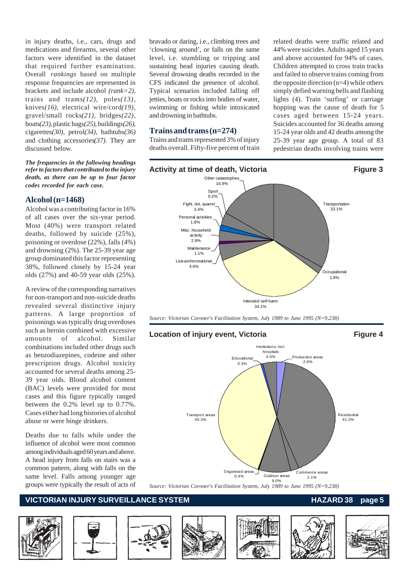in injury deaths, i.e., cars, drugs and medications and firearms, several other factors were identified in the dataset that required further examination. Overall *rankings* based on multiple response frequencies are represented in brackets and include alcohol *(rank=2)*, trains and trams*(12)*, poles*(13)*, knives*(16)*, electrical wire/cord*(19)*, gravel/small rocks*(21)*, bridges*(22)*, boats*(23)*, plastic bags*(25)*, buildings*(26)*, cigarettes*(30)*, petrol*(34)*, bathtubs*(36)* and clothing accessories*(37)*. They are discussed below.

*The frequencies in the following headings refer to factors that contributed to the injury death, as there can be up to four factor codes recorded for each case.*

#### **Alcohol (n=1468)**

Alcohol was a contributing factor in 16% of all cases over the six-year period. Most (40%) were transport related deaths, followed by suicide (25%), poisoning or overdose (22%), falls (4%) and drowning (2%). The 25-39 year age group dominated this factor representing 38%, followed closely by 15-24 year olds (27%) and 40-59 year olds (25%).

A review of the corresponding narratives for non-transport and non-suicide deaths revealed several distinctive injury patterns. A large proportion of poisonings was typically drug overdoses such as heroin combined with excessive amounts of alcohol. Similar combinations included other drugs such as benzodiazepines, codeine and other prescription drugs. Alcohol toxicity accounted for several deaths among 25- 39 year olds. Blood alcohol content (BAC) levels were provided for most cases and this figure typically ranged between the 0.2% level up to 0.77%. Cases either had long histories of alcohol abuse or were binge drinkers.

Deaths due to falls while under the influence of alcohol were most common among individuals aged 60 years and above. A head injury from falls on stairs was a common pattern, along with falls on the same level. Falls among younger age groups were typically the result of acts of bravado or daring, i.e., climbing trees and 'clowning around', or falls on the same level, i.e. stumbling or tripping and sustaining head injuries causing death. Several drowning deaths recorded in the CFS indicated the presence of alcohol. Typical scenarios included falling off jetties, boats or rocks into bodies of water, swimming or fishing while intoxicated and drowning in bathtubs.

#### **Trains and trams (n=274)**

Trains and trams represented 3% of injury deaths overall. Fifty-five percent of train related deaths were traffic related and 44% were suicides. Adults aged 15 years and above accounted for 94% of cases. Children attempted to cross train tracks and failed to observe trains coming from the opposite direction (n=4) while others simply defied warning bells and flashing lights (4). Train 'surfing' or carriage hopping was the cause of death for 5 cases aged between 15-24 years. Suicides accounted for 36 deaths among 15-24 year olds and 42 deaths among the 25-39 year age group. A total of 83 pedestrian deaths involving trains were



*Source: Victorian Coroner's Facilitation System, July 1989 to June 1995 (N=9,238)*



*Source: Victorian Coroner's Facilitation System, July 1989 to June 1995 (N=9,238)*

#### **VICTORIAN INJURY SURVEILLANCE SYSTEM AND READ READ READ TO HAZARD 38 page 5**













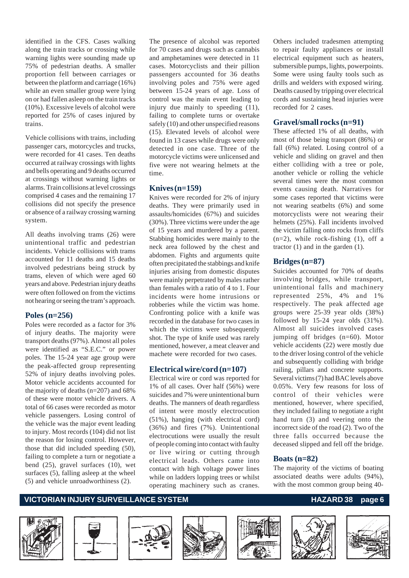identified in the CFS. Cases walking along the train tracks or crossing while warning lights were sounding made up 75% of pedestrian deaths. A smaller proportion fell between carriages or between the platform and carriage (16%) while an even smaller group were lying on or had fallen asleep on the train tracks (10%). Excessive levels of alcohol were reported for 25% of cases injured by trains.

Vehicle collisions with trains, including passenger cars, motorcycles and trucks, were recorded for 41 cases. Ten deaths occurred at railway crossings with lights and bells operating and 9 deaths occurred at crossings without warning lights or alarms. Train collisions at level crossings comprised 4 cases and the remaining 17 collisions did not specify the presence or absence of a railway crossing warning system.

All deaths involving trams (26) were unintentional traffic and pedestrian incidents. Vehicle collisions with trams accounted for 11 deaths and 15 deaths involved pedestrians being struck by trams, eleven of which were aged 60 years and above. Pedestrian injury deaths were often followed on from the victims not hearing or seeing the tram's approach.

#### **Poles (n=256)**

Poles were recorded as a factor for 3% of injury deaths. The majority were transport deaths (97%). Almost all poles were identified as "S.E.C." or power poles. The 15-24 year age group were the peak-affected group representing 52% of injury deaths involving poles. Motor vehicle accidents accounted for the majority of deaths (n=207) and 68% of these were motor vehicle drivers. A total of 66 cases were recorded as motor vehicle passengers. Losing control of the vehicle was the major event leading to injury. Most records (104) did not list the reason for losing control. However, those that did included speeding (50), failing to complete a turn or negotiate a bend (25), gravel surfaces (10), wet surfaces (5), falling asleep at the wheel (5) and vehicle unroadworthiness (2).

The presence of alcohol was reported for 70 cases and drugs such as cannabis and amphetamines were detected in 11 cases. Motorcyclists and their pillion passengers accounted for 36 deaths involving poles and 75% were aged between 15-24 years of age. Loss of control was the main event leading to injury due mainly to speeding (11), failing to complete turns or overtake safely (10) and other unspecified reasons (15). Elevated levels of alcohol were found in 13 cases while drugs were only detected in one case. Three of the motorcycle victims were unlicensed and five were not wearing helmets at the time.

#### **Knives (n=159)**

Knives were recorded for 2% of injury deaths. They were primarily used in assaults/homicides (67%) and suicides (30%). Three victims were under the age of 15 years and murdered by a parent. Stabbing homicides were mainly to the neck area followed by the chest and abdomen. Fights and arguments quite often precipitated the stabbings and knife injuries arising from domestic disputes were mainly perpetrated by males rather than females with a ratio of 4 to 1. Four incidents were home intrusions or robberies while the victim was home. Confronting police with a knife was recorded in the database for two cases in which the victims were subsequently shot. The type of knife used was rarely mentioned, however, a meat cleaver and machete were recorded for two cases.

#### **Electrical wire/cord (n=107)**

Electrical wire or cord was reported for 1% of all cases. Over half (56%) were suicides and 7% were unintentional burn deaths. The manners of death regardless of intent were mostly electrocution (51%), hanging (with electrical cord) (36%) and fires (7%). Unintentional electrocutions were usually the result of people coming into contact with faulty or live wiring or cutting through electrical leads. Others came into contact with high voltage power lines while on ladders lopping trees or whilst operating machinery such as cranes.

Others included tradesmen attempting to repair faulty appliances or install electrical equipment such as heaters, submersible pumps, lights, powerpoints. Some were using faulty tools such as drills and welders with exposed wiring. Deaths caused by tripping over electrical cords and sustaining head injuries were recorded for 2 cases.

#### **Gravel/small rocks (n=91)**

These affected 1% of all deaths, with most of those being transport (86%) or fall (6%) related. Losing control of a vehicle and sliding on gravel and then either colliding with a tree or pole, another vehicle or rolling the vehicle several times were the most common events causing death. Narratives for some cases reported that victims were not wearing seatbelts (6%) and some motorcyclists were not wearing their helmets (25%). Fall incidents involved the victim falling onto rocks from cliffs  $(n=2)$ , while rock-fishing  $(1)$ , off a tractor (1) and in the garden (1).

#### **Bridges (n=87)**

Suicides accounted for 70% of deaths involving bridges, while transport, unintentional falls and machinery represented 25%, 4% and 1% respectively. The peak affected age groups were 25-39 year olds (38%) followed by 15-24 year olds (31%). Almost all suicides involved cases jumping off bridges (n=60). Motor vehicle accidents (22) were mostly due to the driver losing control of the vehicle and subsequently colliding with bridge railing, pillars and concrete supports. Several victims (7) had BAC levels above 0.05%. Very few reasons for loss of control of their vehicles were mentioned, however, where specified, they included failing to negotiate a right hand turn (3) and veering onto the incorrect side of the road (2). Two of the three falls occurred because the deceased slipped and fell off the bridge.

#### **Boats (n=82)**

The majority of the victims of boating associated deaths were adults (94%), with the most common group being 40-

#### **VICTORIAN INJURY SURVEILLANCE SYSTEM** And the contract of the HAZARD 38 page 6













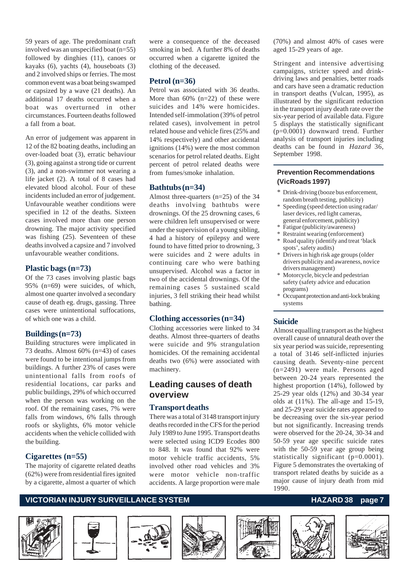59 years of age. The predominant craft involved was an unspecified boat (n=55) followed by dinghies (11), canoes or kayaks (6), yachts (4), houseboats (3) and 2 involved ships or ferries. The most common event was a boat being swamped or capsized by a wave (21 deaths). An additional 17 deaths occurred when a boat was overturned in other circumstances. Fourteen deaths followed a fall from a boat.

An error of judgement was apparent in 12 of the 82 boating deaths, including an over-loaded boat (3), erratic behaviour (3), going against a strong tide or current (3), and a non-swimmer not wearing a life jacket (2). A total of 8 cases had elevated blood alcohol. Four of these incidents included an error of judgement. Unfavourable weather conditions were specified in 12 of the deaths. Sixteen cases involved more than one person drowning. The major activity specified was fishing (25). Seventeen of these deaths involved a capsize and 7 involved unfavourable weather conditions.

#### **Plastic bags (n=73)**

Of the 73 cases involving plastic bags 95% (n=69) were suicides, of which, almost one quarter involved a secondary cause of death eg. drugs, gassing. Three cases were unintentional suffocations, of which one was a child.

#### **Buildings (n=73)**

Building structures were implicated in 73 deaths. Almost 60% (n=43) of cases were found to be intentional jumps from buildings. A further 23% of cases were unintentional falls from roofs of residential locations, car parks and public buildings, 29% of which occurred when the person was working on the roof. Of the remaining cases, 7% were falls from windows, 6% falls through roofs or skylights, 6% motor vehicle accidents when the vehicle collided with the building.

#### **Cigarettes (n=55)**

The majority of cigarette related deaths (62%) were from residential fires ignited by a cigarette, almost a quarter of which

were a consequence of the deceased smoking in bed. A further 8% of deaths occurred when a cigarette ignited the clothing of the deceased.

#### **Petrol (n=36)**

Petrol was associated with 36 deaths. More than  $60\%$  (n=22) of these were suicides and 14% were homicides. Intended self-immolation (39% of petrol related cases), involvement in petrol related house and vehicle fires (25% and 14% respectively) and other accidental ignitions (14%) were the most common scenarios for petrol related deaths. Eight percent of petrol related deaths were from fumes/smoke inhalation.

#### **Bathtubs (n=34)**

Almost three-quarters (n=25) of the 34 deaths involving bathtubs were drownings. Of the 25 drowning cases, 6 were children left unsupervised or were under the supervision of a young sibling, 4 had a history of epilepsy and were found to have fitted prior to drowning, 3 were suicides and 2 were adults in continuing care who were bathing unsupervised. Alcohol was a factor in two of the accidental drownings. Of the remaining cases 5 sustained scald injuries, 3 fell striking their head whilst bathing.

#### **Clothing accessories (n=34)**

Clothing accessories were linked to 34 deaths. Almost three-quarters of deaths were suicide and 9% strangulation homicides. Of the remaining accidental deaths two (6%) were associated with machinery.

### **Leading causes of death overview**

#### **Transport deaths**

There was a total of 3148 transport injury deaths recorded in the CFS for the period July 1989 to June 1995. Transport deaths were selected using ICD9 Ecodes 800 to 848. It was found that 92% were motor vehicle traffic accidents, 5% involved other road vehicles and 3% were motor vehicle non-traffic accidents. A large proportion were male

(70%) and almost 40% of cases were aged 15-29 years of age.

Stringent and intensive advertising campaigns, stricter speed and drinkdriving laws and penalties, better roads and cars have seen a dramatic reduction in transport deaths (Vulcan, 1995), as illustrated by the significant reduction in the transport injury death rate over the six-year period of available data. Figure 5 displays the statistically significant (p=0.0001) downward trend. Further analysis of transport injuries including deaths can be found in *Hazard* 36, September 1998.

#### **Prevention Recommendations (VicRoads 1997)**

- \* Drink-driving (booze bus enforcement, random breath testing, publicity)
- \* Speeding (speed detection using radar/ laser devices, red light cameras, general enforcement, publicity)
- \* Fatigue (publicity/awareness)
- \* Restraint wearing (enforcement)
- \* Road quality (identify and treat 'black spots', safety audits)
- \* Drivers in high risk age groups (older drivers publicity and awareness, novice drivers management)
- \* Motorcycle, bicycle and pedestrian safety (safety advice and education programs)
- Occupant protection and anti-lock braking systems

#### **Suicide**

Almost equalling transport as the highest overall cause of unnatural death over the six year period was suicide, representing a total of 3146 self-inflicted injuries causing death. Seventy-nine percent (n=2491) were male. Persons aged between 20-24 years represented the highest proportion (14%), followed by 25-29 year olds (12%) and 30-34 year olds at (11%). The all-age and 15-19, and 25-29 year suicide rates appeared to be decreasing over the six-year period but not significantly. Increasing trends were observed for the 20-24, 30-34 and 50-59 year age specific suicide rates with the 50-59 year age group being statistically significant (p=0.0001). Figure 5 demonstrates the overtaking of transport related deaths by suicide as a major cause of injury death from mid 1990.

### **VICTORIAN INJURY SURVEILLANCE SYSTEM** And the state of the HAZARD 38 page 7













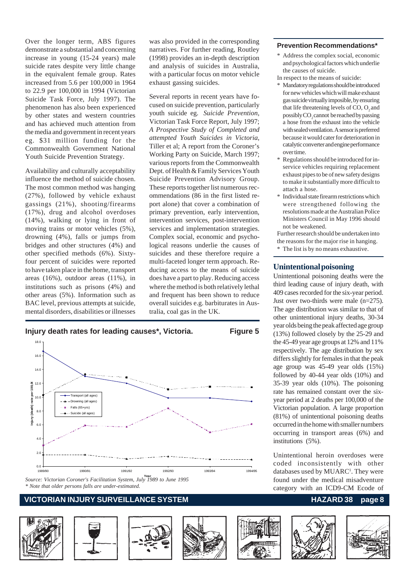Over the longer term, ABS figures demonstrate a substantial and concerning increase in young (15-24 years) male suicide rates despite very little change in the equivalent female group. Rates increased from 5.6 per 100,000 in 1964 to 22.9 per 100,000 in 1994 (Victorian Suicide Task Force, July 1997). The phenomenon has also been experienced by other states and western countries and has achieved much attention from the media and government in recent years eg. \$31 million funding for the Commonwealth Government National Youth Suicide Prevention Strategy.

Availability and culturally acceptability influence the method of suicide chosen. The most common method was hanging (27%), followed by vehicle exhaust gassings (21%), shooting/firearms (17%), drug and alcohol overdoses (14%), walking or lying in front of moving trains or motor vehicles (5%), drowning (4%), falls or jumps from bridges and other structures (4%) and other specified methods (6%). Sixtyfour percent of suicides were reported to have taken place in the home, transport areas (16%), outdoor areas (11%), in institutions such as prisons (4%) and other areas (5%). Information such as BAC level, previous attempts at suicide, mental disorders, disabilities or illnesses

was also provided in the corresponding narratives. For further reading, Routley (1998) provides an in-depth description and analysis of suicides in Australia, with a particular focus on motor vehicle exhaust gassing suicides.

Several reports in recent years have focused on suicide prevention, particularly youth suicide eg. *Suicide Prevention*, Victorian Task Force Report, July 1997; *A Prospective Study of Completed and attempted Youth Suicides in Victoria*, Tiller et al; A report from the Coroner's Working Party on Suicide, March 1997; various reports from the Commonwealth Dept. of Health & Family Services Youth Suicide Prevention Advisory Group. These reports together list numerous recommendations (86 in the first listed report alone) that cover a combination of primary prevention, early intervention, intervention services, post-intervention services and implementation strategies. Complex social, economic and psychological reasons underlie the causes of suicides and these therefore require a multi-faceted longer term approach. Reducing access to the means of suicide does have a part to play. Reducing access where the method is both relatively lethal and frequent has been shown to reduce overall suicides e.g. barbiturates in Australia, coal gas in the UK.



#### *\* Note that older persons falls are under-estimated.*

#### **VICTORIAN INJURY SURVEILLANCE SYSTEM HAZARD 38 page 8**









#### **Prevention Recommendations\***

- \* Address the complex social, economic and psychological factors which underlie the causes of suicide.
- In respect to the means of suicide:
- \* Mandatory regulations should be introduced for new vehicles which will make exhaust gas suicide virtually imposible, by ensuring that life threatening levels of  $CO$ ,  $O<sub>2</sub>$  and possibly  $\mathrm{CO}_2$  cannot be reached by passing a hose from the exhaust into the vehicle with sealed ventilation. A sensor is preferred because it would cater for deterioration in catalytic converter and engine performance over time.
- \* Regulations should be introduced for inservice vehicles requiring replacement exhaust pipes to be of new safety designs to make it substantially more difficult to attach a hose.
- Individual state firearm restrictions which were strengthened following the resolutions made at the Australian Police Ministers Council in May 1996 should not be weakened.

Further research should be undertaken into the reasons for the major rise in hanging.

\* The list is by no means exhaustive.

#### **Unintentional poisoning**

Unintentional poisoning deaths were the third leading cause of injury death, with 409 cases recorded for the six-year period. Just over two-thirds were male (n=275). The age distribution was similar to that of other unintentional injury deaths, 30-34 year olds being the peak affected age group (13%) followed closely by the 25-29 and the 45-49 year age groups at 12% and 11% respectively. The age distribution by sex differs slightly for females in that the peak age group was 45-49 year olds (15%) followed by 40-44 year olds (10%) and 35-39 year olds (10%). The poisoning rate has remained constant over the sixyear period at 2 deaths per 100,000 of the Victorian population. A large proportion (81%) of unintentional poisoning deaths occurred in the home with smaller numbers occurring in transport areas (6%) and institutions (5%).

Unintentional heroin overdoses were coded inconsistently with other databases used by MUARC<sup>1</sup>. They were found under the medical misadventure category with an ICD9-CM Ecode of



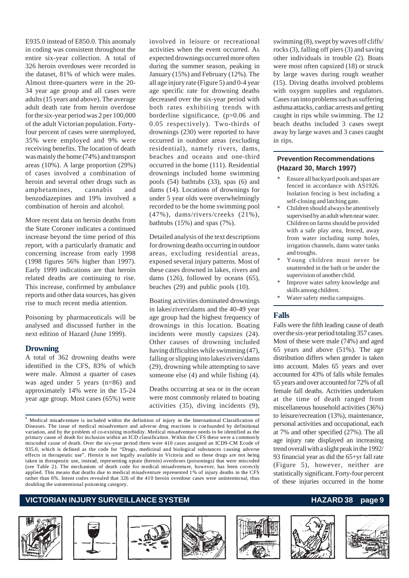E935.0 instead of E850.0. This anomaly in coding was consistent throughout the entire six-year collection. A total of 326 heroin overdoses were recorded in the dataset, 81% of which were males. Almost three-quarters were in the 20- 34 year age group and all cases were adults (15 years and above). The average adult death rate from heroin overdose for the six-year period was 2 per 100,000 of the adult Victorian population. Fortyfour percent of cases were unemployed, 35% were employed and 9% were receiving benefits. The location of death was mainly the home (74%) and transport areas (10%). A large proportion (29%) of cases involved a combination of heroin and several other drugs such as amphetamines, cannabis and benzodiazepines and 19% involved a combination of heroin and alcohol.

More recent data on heroin deaths from the State Coroner indicates a continued increase beyond the time period of this report, with a particularly dramatic and concerning increase from early 1998 (1998 figures 56% higher than 1997). Early 1999 indications are that heroin related deaths are continuing to rise. This increase, confirmed by ambulance reports and other data sources, has given rise to much recent media attention.

Poisoning by pharmaceuticals will be analysed and discussed further in the next edition of Hazard (June 1999).

#### **Drowning**

A total of 362 drowning deaths were identified in the CFS, 83% of which were male. Almost a quarter of cases was aged under 5 years (n=86) and approximately 14% were in the 15-24 year age group. Most cases (65%) were involved in leisure or recreational activities when the event occurred. As expected drownings occurred more often during the summer season, peaking in January (15%) and February (12%). The all age injury rate (Figure 5) and 0-4 year age specific rate for drowning deaths decreased over the six-year period with both rates exhibiting trends with borderline significance, (p=0.06 and 0.05 respectively). Two-thirds of drownings (230) were reported to have occurred in outdoor areas (excluding residential), namely rivers, dams, beaches and oceans and one-third occurred in the home (111). Residential drownings included home swimming pools (54) bathtubs (33), spas (6) and dams (14). Locations of drownings for under 5 year olds were overwhelmingly recorded to be the home swimming pool (47%), dams/rivers/creeks (21%), bathtubs (15%) and spas (7%).

Detailed analysis of the text descriptions for drowning deaths occurring in outdoor areas, excluding residential areas, exposed several injury patterns. Most of these cases drowned in lakes, rivers and dams (126), followed by oceans (65), beaches (29) and public pools (10).

Boating activities dominated drownings in lakes\rivers\dams and the 40-49 year age group had the highest frequency of drownings in this location. Boating incidents were mostly capsizes (24). Other causes of drowning included having difficulties while swimming (47), falling or slipping into lakes\rivers\dams (29), drowning while attempting to save someone else (4) and while fishing (4).

Deaths occurring at sea or in the ocean were most commonly related to boating activities (35), diving incidents (9),

**1** Medical misadventure is included within the definition of injury in the International Classification of Diseases. The issue of medical misadventure and adverse drug reactions is confounded by definitional variation, and by the problem of co-existing morbidity. Medical misadventure needs to be identified as the primary cause of death for inclusion within an ICD classification. Within the CFS these were a commonly miscoded cause of death. Over the six-year period there were 410 cases assigned an ICD9-CM Ecode of 935.0, which is defined as the code for "Drugs, medicinal and biological substances causing adverse effects in therapeutic use". Heroin is not legally available in Victoria and so these drugs are not being taken in therapeutic use, instead, representing opiate (heroin) overdoses (poisonings) that were miscoded (see Table 2). The mechanism of death code for medical misadventure, however, has been correctly applied. This means that deaths due to medical misadventure represented 1% of injury deaths in the CFS rather than 6%. Intent codes revealed that 326 of the 410 heroin overdose cases were unintentional, thus doubling the unintentional poisoning category.

#### **VICTORIAN INJURY SURVEILLANCE SYSTEM** And the state of the HAZARD 38 page 9











swimming (8), swept by waves off cliffs/ rocks (3), falling off piers (3) and saving other individuals in trouble (2). Boats were most often capsized (18) or struck by large waves during rough weather (15). Diving deaths involved problems with oxygen supplies and regulators. Cases ran into problems such as suffering asthma attacks, cardiac arrests and getting caught in rips while swimming. The 12 beach deaths included 3 cases swept away by large waves and 3 cases caught in rips.

#### **Prevention Recommendations (Hazard 30, March 1997)**

- Ensure all backyard pools and spas are fenced in accordance with AS1926. Isolation fencing is best including a self-closing and latching gate.
- Children should always be attentively supervised by an adult when near water. Children on farms should be provided with a safe play area, fenced, away from water including sump holes, irrigation channels, dams water tanks and troughs.
- Young children must never be unattended in the bath or be under the supervision of another child.
- Improve water safety knowledge and skills among children.
- Water safety media campaigns.

#### **Falls**

Falls were the fifth leading cause of death over the six-year period totaling 357 cases. Most of these were male (74%) and aged 65 years and above (51%). The age distribution differs when gender is taken into account. Males 65 years and over accounted for 43% of falls while females 65 years and over accounted for 72% of all female fall deaths. Activities undertaken at the time of death ranged from miscellaneous household activities (36%) to leisure/recreation (13%), maintenance, personal activities and occupational, each at 7% and other specified (27%). The all age injury rate displayed an increasing trend overall with a slight peak in the 1992/ 93 financial year as did the 65+yr fall rate (Figure 5), however, neither are statistically significant. Forty-four percent of these injuries occurred in the home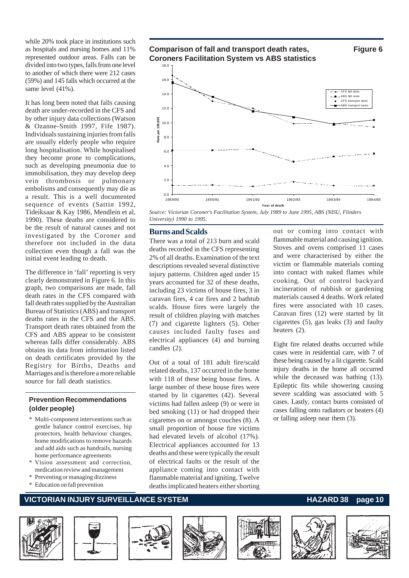while 20% took place in institutions such as hospitals and nursing homes and 11% represented outdoor areas. Falls can be divided into two types, falls from one level to another of which there were 212 cases (59%) and 145 falls which occurred at the same level (41%).

It has long been noted that falls causing death are under-recorded in the CFS and by other injury data collections (Watson & Ozanne-Smith 1997, Fife 1987). Individuals sustaining injuries from falls are usually elderly people who require long hospitalisation. While hospitalised they become prone to complications, such as developing pneumonia due to immobilisation, they may develop deep vein thrombosis or pulmonary embolisms and consequently may die as a result. This is a well documented sequence of events (Sattin 1992, Tideiksaar & Kay 1986, Mendlein et al, 1990). These deaths are considered to be the result of natural causes and not investigated by the Coroner and therefore not included in the data collection even though a fall was the initial event leading to death.

The difference in 'fall' reporting is very clearly demonstrated in Figure 6. In this graph, two comparisons are made, fall death rates in the CFS compared with fall death rates supplied by the Australian Bureau of Statistics (ABS) and transport deaths rates in the CFS and the ABS. Transport death rates obtained from the CFS and ABS appear to be consistent whereas falls differ considerably. ABS obtains its data from information listed on death certificates provided by the Registry for Births, Deaths and Marriages and is therefore a more reliable source for fall death statistics.

#### **Prevention Recommendations (older people)**

- \* Multi-component interventions such as gentle balance control exercises, hip protectors, health behaviour changes, home modifications to remove hazards and add aids such as handrails, nursing home performance agreements
- Vision assessment and correction, medication review and management
- \* Preventing or managing dizziness
- Education on fall prevention



**Year of death** *Source: Victorian Coroner's Facilitation System, July 1989 to June 1995, ABS (NISU, Flinders University) 1990 to 1995.*

#### **Burns and Scalds**

There was a total of 213 burn and scald deaths recorded in the CFS representing 2% of all deaths. Examination of the text descriptions revealed several distinctive injury patterns. Children aged under 15 years accounted for 32 of these deaths, including 23 victims of house fires, 3 in caravan fires, 4 car fires and 2 bathtub scalds. House fires were largely the result of children playing with matches (7) and cigarette lighters (5). Other causes included faulty fuses and electrical appliances (4) and burning candles (2).

Out of a total of 181 adult fire/scald related deaths, 137 occurred in the home with 118 of these being house fires. A large number of these house fires were started by lit cigarettes (42). Several victims had fallen asleep (9) or were in bed smoking (11) or had dropped their cigarettes on or amongst couches (8). A small proportion of house fire victims had elevated levels of alcohol (17%). Electrical appliances accounted for 13 deaths and these were typically the result of electrical faults or the result of the appliance coming into contact with flammable material and igniting. Twelve deaths implicated heaters either shorting

out or coming into contact with flammable material and causing ignition. Stoves and ovens comprised 11 cases and were characterised by either the victim or flammable materials coming into contact with naked flames while cooking. Out of control backyard incineration of rubbish or gardening materials caused 4 deaths. Work related fires were associated with 10 cases. Caravan fires (12) were started by lit cigarettes (5), gas leaks (3) and faulty heaters (2).

Eight fire related deaths occurred while cases were in residential care, with 7 of these being caused by a lit cigarette. Scald injury deaths in the home all occurred while the deceased was bathing (13). Epileptic fits while showering causing severe scalding was associated with 5 cases. Lastly, contact burns consisted of cases falling onto radiators or heaters (4) or falling asleep near them (3).

#### **VICTORIAN INJURY SURVEILLANCE SYSTEM AND RESOURCE AT A RELATION HAZARD 38 page 10**













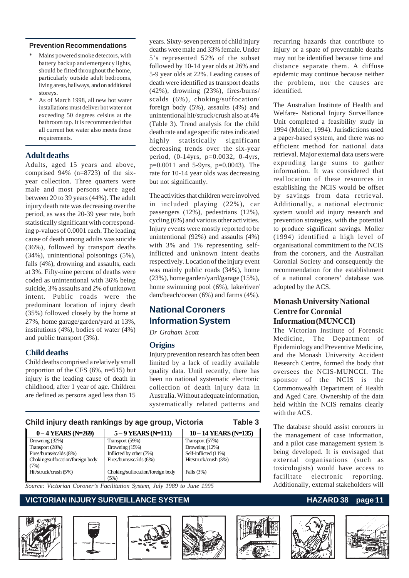#### **Prevention Recommendations**

- Mains powered smoke detectors, with battery backup and emergency lights, should be fitted throughout the home, particularly outside adult bedrooms, living areas, hallways, and on additional storeys.
- As of March 1998, all new hot water installations must deliver hot water not exceeding 50 degrees celsius at the bathroom tap. It is recommended that all current hot water also meets these requirements.

#### **Adult deaths**

Adults, aged 15 years and above, comprised 94% (n=8723) of the sixyear collection. Three quarters were male and most persons were aged between 20 to 39 years (44%). The adult injury death rate was decreasing over the period, as was the 20-39 year rate, both statistically significant with corresponding p-values of 0.0001 each. The leading cause of death among adults was suicide (36%), followed by transport deaths (34%), unintentional poisonings (5%), falls (4%), drowning and assaults, each at 3%. Fifty-nine percent of deaths were coded as unintentional with 36% being suicide, 3% assaults and 2% of unknown intent. Public roads were the predominant location of injury death (35%) followed closely by the home at 27%, home garage/garden/yard at 13%, institutions (4%), bodies of water (4%) and public transport (3%).

#### **Child deaths**

Child deaths comprised a relatively small proportion of the CFS (6%, n=515) but injury is the leading cause of death in childhood, after 1 year of age. Children are defined as persons aged less than 15 years. Sixty-seven percent of child injury deaths were male and 33% female. Under 5's represented 52% of the subset followed by 10-14 year olds at 26% and 5-9 year olds at 22%. Leading causes of death were identified as transport deaths (42%), drowning (23%), fires/burns/ scalds (6%), choking/suffocation/ foreign body (5%), assaults (4%) and unintentional hit/struck/crush also at 4% (Table 3). Trend analysis for the child death rate and age specific rates indicated highly statistically significant decreasing trends over the six-year period, (0-14yrs, p=0.0032, 0-4yrs, p=0.0011 and 5-9yrs, p=0.0043). The rate for 10-14 year olds was decreasing but not significantly.

The activities that children were involved in included playing (22%), car passengers (12%), pedestrians (12%), cycling (6%) and various other activities. Injury events were mostly reported to be unintentional (92%) and assaults (4%) with 3% and 1% representing selfinflicted and unknown intent deaths respectively. Location of the injury event was mainly public roads (34%), home (23%), home garden/yard/garage (15%), home swimming pool (6%), lake/river/ dam/beach/ocean (6%) and farms (4%).

### **National Coroners Information System**

*Dr Graham Scott*

#### **Origins**

Injury prevention research has often been limited by a lack of readily available quality data. Until recently, there has been no national systematic electronic collection of death injury data in Australia. Without adequate information, systematically related patterns and

| Child injury death rankings by age group, Victoria |                                          |                       |  |  |  |  |  |
|----------------------------------------------------|------------------------------------------|-----------------------|--|--|--|--|--|
| $0 - 4$ YEARS (N=269)                              | $5 - 9$ YEARS (N=111)                    | 10 - 14 YEARS (N=135) |  |  |  |  |  |
| Drowning (32%)                                     | Transport (59%)                          | Transport (57%)       |  |  |  |  |  |
| Transport (28%)                                    | Drowning $(15%)$                         | Drowning $(12%)$      |  |  |  |  |  |
| Fires/burns/scalds (8%)                            | Inflicted by other (7%)                  | Self-inflicted (11%)  |  |  |  |  |  |
| Choking/suffocation/foreign body<br>(7%)           | Fires/burns/scalds (6%)                  | Hit/struck/crush (3%) |  |  |  |  |  |
| Hit/struck/crush (5%)                              | Choking/suffocation/foreign body<br>(5%) | Falls $(3%)$          |  |  |  |  |  |

*Source: Victorian Coroner's Facilitation System, July 1989 to June 1995*

### **VICTORIAN INJURY SURVEILLANCE SYSTEM** MARY CONTROLLANCE AND MAZARD 38 page 11









recurring hazards that contribute to injury or a spate of preventable deaths may not be identified because time and distance separate them. A diffuse epidemic may continue because neither the problem, nor the causes are identified.

The Australian Institute of Health and Welfare- National Injury Surveillance Unit completed a feasibility study in 1994 (Moller, 1994). Jurisdictions used a paper-based system, and there was no efficient method for national data retrieval. Major external data users were expending large sums to gather information. It was considered that reallocation of these resources in establishing the NCIS would be offset by savings from data retrieval. Additionally, a national electronic system would aid injury research and prevention strategies, with the potential to produce significant savings. Moller (1994) identified a high level of organisational commitment to the NCIS from the coroners, and the Australian Coronial Society and consequently the recommendation for the establishment of a national coroners' database was adopted by the ACS.

#### **Monash University National Centre for Coronial Information (MUNCCI)**

The Victorian Institute of Forensic Medicine, The Department of Epidemiology and Preventive Medicine, and the Monash University Accident Research Centre, formed the body that oversees the NCIS-MUNCCI. The sponsor of the NCIS is the Commonwealth Department of Health and Aged Care. Ownership of the data held within the NCIS remains clearly with the ACS.

The database should assist coroners in the management of case information, and a pilot case management system is being developed. It is envisaged that external organisations (such as toxicologists) would have access to facilitate electronic reporting. Additionally, external stakeholders will



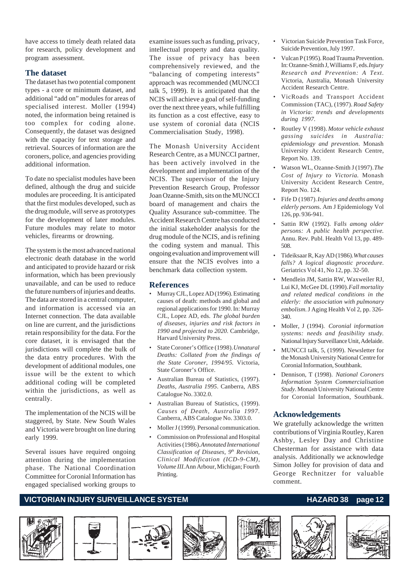have access to timely death related data for research, policy development and program assessment.

#### **The dataset**

The dataset has two potential component types - a core or minimum dataset, and additional "add on" modules for areas of specialised interest. Moller (1994) noted, the information being retained is too complex for coding alone. Consequently, the dataset was designed with the capacity for text storage and retrieval. Sources of information are the coroners, police, and agencies providing additional information.

To date no specialist modules have been defined, although the drug and suicide modules are proceeding. It is anticipated that the first modules developed, such as the drug module, will serve as prototypes for the development of later modules. Future modules may relate to motor vehicles, firearms or drowning.

The system is the most advanced national electronic death database in the world and anticipated to provide hazard or risk information, which has been previously unavailable, and can be used to reduce the future numbers of injuries and deaths. The data are stored in a central computer, and information is accessed via an Internet connection. The data available on line are current, and the jurisdictions retain responsibility for the data. For the core dataset, it is envisaged that the jurisdictions will complete the bulk of the data entry procedures. With the development of additional modules, one issue will be the extent to which additional coding will be completed within the jurisdictions, as well as centrally.

The implementation of the NCIS will be staggered, by State. New South Wales and Victoria were brought on line during early 1999.

Several issues have required ongoing attention during the implementation phase. The National Coordination Committee for Coronial Information has engaged specialised working groups to examine issues such as funding, privacy, intellectual property and data quality. The issue of privacy has been comprehensively reviewed, and the "balancing of competing interests" approach was recommended (MUNCCI talk 5, 1999). It is anticipated that the NCIS will achieve a goal of self-funding over the next three years, while fulfilling its function as a cost effective, easy to use system of coronial data (NCIS Commercialisation Study, 1998).

The Monash University Accident Research Centre, as a MUNCCI partner, has been actively involved in the development and implementation of the NCIS. The supervisor of the Injury Prevention Research Group, Professor Joan Ozanne-Smith, sits on the MUNCCI board of management and chairs the Quality Assurance sub-committee. The Accident Research Centre has conducted the initial stakeholder analysis for the drug module of the NCIS, and is refining the coding system and manual. This ongoing evaluation and improvement will ensure that the NCIS evolves into a benchmark data collection system.

#### **References**

- Murray CJL, Lopez AD (1996). Estimating causes of death: methods and global and regional applications for 1990. In: Murray CJL, Lopez AD, eds. *The global burden of diseases, injuries and risk factors in 1990 and projected to 2020*. Cambridge, Harvard University Press.
- State Coroner's Office (1998). *Unnatural Deaths: Collated from the findings of the State Coroner, 1994/95*. Victoria, State Coroner's Office.
- Australian Bureau of Statistics, (1997). *Deaths, Australia 1995*. Canberra, ABS Catalogue No. 3302.0.
- Australian Bureau of Statistics, (1999). *Causes of Death, Australia 1997*. Canberra, ABS Catalogue No. 3303.0.
- Moller J (1999). Personal communication.
- Commission on Professional and Hospital Activities (1986). *Annotated International Classification of Diseases, 9th Revision, Clinical Modification (ICD-9-CM), Volume III.* Ann Arbour, Michigan; Fourth Printing.
- Victorian Suicide Prevention Task Force, Suicide Prevention, July 1997.
- Vulcan P (1995). Road Trauma Prevention. In: Ozanne-Smith J, Williams F, eds. *Injury Research and Prevention: A Text.* Victoria, Australia, Monash University Accident Research Centre.
- VicRoads and Transport Accident Commission (TAC), (1997). *Road Safety in Victoria: trends and developments during 1997.*
- Routley V (1998). *Motor vehicle exhaust gassing suicides in Australia: epidemiology and prevention*. Monash University Accident Research Centre, Report No. 139.
- Watson WL, Ozanne-Smith J (1997). *The Cost of Injury to Victoria*. Monash University Accident Research Centre, Report No. 124.
- Fife D (1987). *Injuries and deaths among elderly person*s. Am J Epidemiology Vol 126, pp. 936-941.
- Sattin RW (1992). F*alls among older persons: A public health perspective*. Annu. Rev. Publ. Health Vol 13, pp. 489- 508.
- Tideiksaar R, Kay AD (1986). *What causes falls? A logical diagnostic procedure.* Geriatrics Vol 41, No 12, pp. 32-50.
- Mendlein JM, Sattin RW, Waxweiler RJ, Lui KJ, McGee DL (1990). *Fall mortality and related medical conditions in the elderly: the association with pulmonary embolism.* J Aging Health Vol 2, pp. 326- 340.
- Moller, J (1994). *Coronial information systems: needs and feasibility study*. National Injury Surveillance Unit, Adelaide.
- MUNCCI talk, 5, (1999). Newsletter for the Monash University National Centre for Coronial Information, Southbank.
- Dennison, T (1998). *National Coroners Information System Commercialisation Study*. Monash University National Centre for Coronial Information, Southbank.

#### **Acknowledgements**

We gratefully acknowledge the written contributions of Virginia Routley, Karen Ashby, Lesley Day and Christine Chesterman for assistance with data analysis. Additionally we acknowledge Simon Jolley for provision of data and George Rechnitzer for valuable comment.

#### **VICTORIAN INJURY SURVEILLANCE SYSTEM** MARIAL MANUSIAN HAZARD 38 page 12













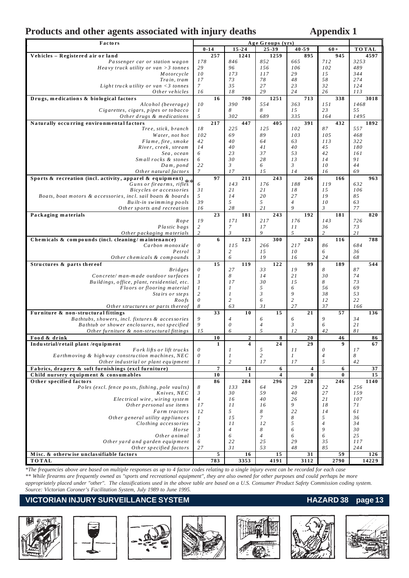## Products and other agents associated with injury deaths **Appendix 1**

| Factors                                                          | Age Groups (yrs)          |                |                |                |                |                |          |                |          |              |       |
|------------------------------------------------------------------|---------------------------|----------------|----------------|----------------|----------------|----------------|----------|----------------|----------|--------------|-------|
|                                                                  |                           | $0 - 14$       | $15 - 24$      |                | 25-39          | $40 - 59$      |          | $60+$          |          | <b>TOTAL</b> |       |
| Vehicles - Registered air or land                                |                           | 257            |                | 1241           | 1259           |                | 895      |                | 945      |              | 4597  |
| Passenger car or station wagon                                   | 178                       |                | 846            |                | 852            | 665            |          | 712            |          | 3253         |       |
| Heavy truck utility or van $>3$ tonnes                           | 29                        |                | 96             |                | 156            | 106            |          | 102            |          | 489          |       |
| Motorcycle                                                       | 10                        |                | 173            |                | 117            | 29             |          | 15             |          | 344          |       |
| Train, tram                                                      | 17                        |                | 73             |                | 78             | 48             |          | 58             |          | 274          |       |
| Light truck utility or van $\langle 3 \rangle$ tonnes            | $\mathcal{I}$             |                | 35             |                | 27             | 23             |          | 32             |          | 124          |       |
| Other vehicles                                                   | 16                        |                | 18             |                | 29             | 24             |          | 26             |          | 113          |       |
| Drugs, medications & biological factors                          |                           | 16             |                | 700            | 1251           |                | 713      |                | 338      |              | 3018  |
| Alcohol (beverage)                                               | 10                        |                | 390<br>8       |                | 554<br>8       | 363            |          | 151<br>23      |          | 1468<br>55   |       |
| Cigarettes, cigars, pipes or tobacco                             | $\boldsymbol{l}$<br>5     |                | 302            |                | 689            | 15<br>335      |          | 164            |          | 1495         |       |
| Other drugs & medications                                        |                           | 217            |                | 447            | 405            |                |          |                | 432      |              |       |
| Naturally occurring environmental factors<br>Tree, stick, branch | 18                        |                | 225            |                | 125            | 102            | 391      | 87             |          | 557          | 1892  |
| Water, not hot                                                   | 102                       |                | 69             |                | 89             | 103            |          | 105            |          | 468          |       |
| Flame, fire, smoke                                               | 42                        |                | 40             |                | 64             | 63             |          | 113            |          | 322          |       |
| River, creek, stream                                             | 14                        |                | 40             |                | 41             | 40             |          | 45             |          | 180          |       |
| Sea, ocean                                                       | 6                         |                | 23             |                | 37             | 53             |          | 42             |          | 161          |       |
| Small rocks & stones                                             | 6                         |                | 30             |                | 28             | 13             |          | 14             |          | 91           |       |
| Dam, pond                                                        | 22                        |                | 3              |                | 6              | $\mathfrak{Z}$ |          | 10             |          | 44           |       |
| Other natural factors                                            | $\boldsymbol{7}$          |                | 17             |                | 15             | 14             |          | 16             |          | 69           |       |
| Sports & recreation (incl. activity, apparel & equipment)        |                           | 97             |                | 211            | 243            |                | 246      |                | 166      |              | 963   |
| $Guns \space or \space firearms, \space rifle's$                 | 6                         |                | 143            |                | 176            | 188            |          | 119            |          | 632          |       |
| Bicycles or accessories                                          | 31                        |                | 21             |                | 21             | 18             |          | 15             |          | 106          |       |
| Boats, boat motors & accessories, incl. sail boats & boards      | 5                         |                | 14             |                | 20             | 27             |          | 19             |          | 85           |       |
| Built-in swimming pools                                          | 39                        |                | 5              |                | 5              | $\overline{4}$ |          | 10             |          | 63           |       |
| Other sports and recreation                                      | 16                        |                | 28             |                | 21             | 9              |          | 3              |          | 77           |       |
| Packaging materials                                              |                           | 23             |                | 181            | 243            |                | 192      |                | 181      |              | 820   |
| Rope                                                             | 19                        |                | 171            |                | 217            | 176            |          | 143            |          | 726          |       |
| Plastic bags                                                     | $\boldsymbol{2}$          |                | $\overline{7}$ |                | 17             | 11             |          | 36             |          | 73           |       |
| Other packaging materials                                        | $\overline{c}$            |                | $\mathfrak{Z}$ |                | 9              | 5              |          | $\overline{c}$ |          | 21           |       |
| Chemicals & compounds (incl. cleaning/maintenance)               |                           | 6              |                | 123            | 300            |                | 243      |                | 116      |              | 788   |
| Carbon monoxide                                                  | 0                         |                | 115            |                | 266            | 217            |          | 86             |          | 684          |       |
| Petrol                                                           | $\boldsymbol{\beta}$      |                | $\overline{c}$ |                | 15             | 10             |          | 6              |          | 36           |       |
| Other chemicals & compounds                                      | $\mathfrak{Z}$            |                | 6              |                | 19             | 16             |          | 24             |          | 68           |       |
| Structures & parts thereof<br><i>Bridges</i>                     | 0                         | 15             | 27             | 119            | 122<br>33      | 19             | 99       | 8              | 189      | 87           | 544   |
| Concrete/man-made outdoor surfaces                               | $\boldsymbol{l}$          |                | 8              |                | 14             | 21             |          | 30             |          | 74           |       |
| Buildings, office, plant, residential, etc.                      | $\mathfrak{Z}$            |                | 17             |                | 30             | 15             |          | 8              |          | 73           |       |
| Floors or flooring material                                      | $\boldsymbol{l}$          |                | 1              |                | 5              | 6              |          | 56             |          | 69           |       |
| Stairs or steps                                                  | $\mathfrak{2}$            |                | 1              |                | 3              | 9              |          | 38             |          | 53           |       |
| Roofs                                                            | $\boldsymbol{\mathit{0}}$ |                | $\overline{c}$ |                | 6              | $\overline{c}$ |          | 12             |          | 22           |       |
| Other structures or parts thereof                                | 8                         |                | 63             |                | 31             | 27             |          | 37             |          | 166          |       |
| Furniture & non-structural fittings                              |                           | 33             |                | 10             | 15             |                | 21       |                | 57       |              | 136   |
| Bathtubs, showers, incl. fixtures & accessories                  | 9                         |                | $\overline{4}$ |                | 6              | 6              |          | 9              |          | 34           |       |
| Bathtub or shower enclosures, not specified                      | 9                         |                | $\theta$       |                | $\overline{4}$ | $\mathfrak{Z}$ |          | 6              |          | 21           |       |
| Other furniture & non-structural fittings                        | 15                        |                | 6              |                | 5              | 12             |          | 42             |          | 81           |       |
| Food & drink                                                     |                           | 10             |                | $\overline{2}$ | 8              |                | 20       |                | 46       |              | 86    |
| Industrial/retail plant /equipment                               |                           | 1              |                | 4              | 24             |                | 29       |                | 9        |              | 67    |
| Fork lifts or lift trucks                                        | $\boldsymbol{\mathit{0}}$ |                | 1              |                | 5              | 11             |          | 0              |          | 17           |       |
| Earthmoving & highway construction machines, NEC                 | $\theta$                  |                | 1              |                | $\overline{c}$ | $\mathcal{I}$  |          | $\overline{4}$ |          | 8            |       |
| Other industrial or plant equipment                              | 1                         |                | $\overline{c}$ |                | 17             | 17             |          | 5              |          | 42           |       |
| Fabrics, drapery & soft furnishings (excl furniture)             |                           | $\overline{7}$ |                | 14             | 6              |                | 4        |                | 6        |              | 37    |
| Child nursery equipment & consumables                            |                           | 10             |                | 1              | $\overline{4}$ |                | $\bf{0}$ |                | $\bf{0}$ |              | 15    |
| Other specified factors                                          |                           | 86             |                | 284            | 296            |                | 228      |                | 246      |              | 1140  |
| Poles (excl. fence posts, fishing, pole vaults)                  | 8                         |                | 133            |                | 64             | 29             |          | 22             |          | 256          |       |
| Knives, NEC                                                      | 3                         |                | 30             |                | 59             | 40             |          | 27             |          | 159          |       |
| Electrical wire, wiring system                                   | $\overline{4}$            |                | 16             |                | 40             | 26<br>9        |          | 21<br>18       |          | 107          |       |
| Other personal use items<br>Farm tractors                        | 17<br>12                  |                | 11<br>5        |                | 16<br>8        |                |          | 14             |          | 71<br>61     |       |
| Other general utility appliances                                 | $\mathcal{I}$             |                | 15             |                | $\overline{7}$ | 22<br>8        |          | 5              |          | 36           |       |
| Clothing accessories                                             | $\overline{c}$            |                | 11             |                | 12             | 5              |          | $\overline{4}$ |          | 34           |       |
| Horse                                                            | $\mathfrak{Z}$            |                | $\overline{4}$ |                | 8              | 6              |          | 9              |          | 30           |       |
| Other animal                                                     | $\mathfrak{Z}$            |                | 6              |                | $\overline{4}$ | 6              |          | 6              |          | 25           |       |
| Other yard and garden equipment                                  | 6                         |                | 22             |                | 25             | 29             |          | 35             |          | 117          |       |
| Other specified factors                                          | 27                        |                | 31             |                | 53             | 48             |          | 85             |          | 244          |       |
| Misc. & otherwise unclassifiable factors                         |                           | 5              |                | 16             | 15             |                | 31       |                | 59       |              | 126   |
| <b>TOTAL</b>                                                     |                           | 783            |                | 3353           | 4191           |                | 3112     |                | 2790     |              | 14229 |

*\*The frequencies above are based on multiple responses as up to 4 factor codes relating to a single injury event can be recorded for each case \*\* While firearms are frequently owned as "sports and recreational equipment", they are also owned for other purposes and could perhaps be more appropriately placed under "other". The classifications used in the above table are based on a U.S. Consumer Product Safety Commission coding system. Source: Victorian Coroner's Facilitation System, July 1989 to June 1995.*

#### VICTORIAN INJURY SURVEILLANCE SYSTEM **Mateurs and ACCIDENT CONTROLLY SURVEILLANCE SYSTEM**













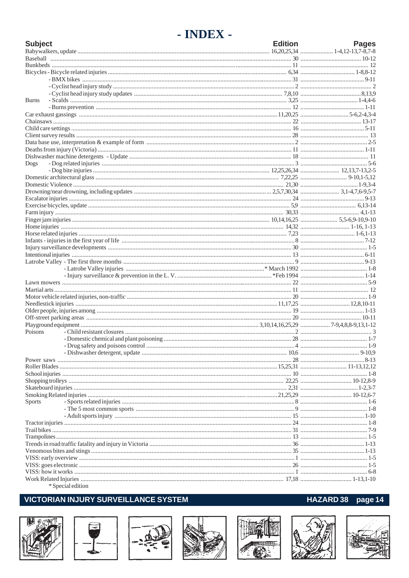# - INDEX -

| <b>Subject</b> |                     | <b>Edition</b> | <b>Pages</b> |
|----------------|---------------------|----------------|--------------|
|                |                     |                |              |
|                |                     |                |              |
|                |                     |                |              |
|                |                     |                |              |
|                |                     |                |              |
|                |                     |                |              |
|                |                     |                |              |
| <b>Burns</b>   |                     |                |              |
|                |                     |                |              |
|                |                     |                |              |
|                |                     |                |              |
|                |                     |                |              |
|                |                     |                |              |
|                |                     |                |              |
|                |                     |                |              |
|                |                     |                |              |
| Dogs           |                     |                |              |
|                |                     |                |              |
|                |                     |                |              |
|                |                     |                |              |
|                |                     |                |              |
|                |                     |                |              |
|                |                     |                |              |
|                |                     |                |              |
|                |                     |                |              |
|                |                     |                |              |
|                |                     |                |              |
|                |                     |                |              |
|                |                     |                |              |
|                |                     |                |              |
|                |                     |                |              |
|                |                     |                |              |
|                |                     |                |              |
|                |                     |                |              |
|                |                     |                |              |
|                |                     |                |              |
|                |                     |                |              |
|                |                     |                |              |
|                |                     |                |              |
|                |                     |                |              |
| Poisons        |                     |                |              |
|                |                     |                |              |
|                |                     |                |              |
|                |                     |                |              |
|                |                     |                |              |
|                |                     |                |              |
|                |                     |                |              |
|                |                     |                |              |
|                |                     |                |              |
|                |                     |                |              |
| Sports         |                     |                |              |
|                |                     |                |              |
|                |                     |                |              |
|                |                     |                |              |
|                |                     |                |              |
|                |                     |                |              |
|                |                     |                |              |
|                |                     |                |              |
|                |                     |                |              |
|                |                     |                |              |
|                |                     |                |              |
|                |                     |                |              |
|                | $*$ Special adition |                |              |

#### Special edition

## **VICTORIAN INJURY SURVEILLANCE SYSTEM**













# HAZARD 38 page 14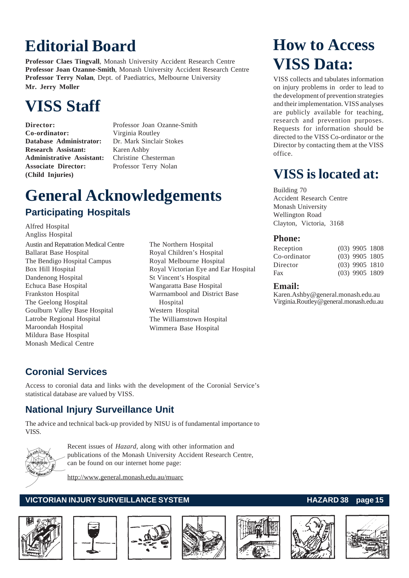# **Editorial Board**

**Professor Claes Tingvall**, Monash University Accident Research Centre **Professor Joan Ozanne-Smith**, Monash University Accident Research Centre **Professor Terry Nolan**, Dept. of Paediatrics, Melbourne University **Mr. Jerry Moller**

# **VISS Staff**

**Co-ordinator:** Virginia Routley **Database Administrator:** Dr. Mark Sinclair Stokes **Research Assistant:** Karen Ashby **Administrative Assistant:** Christine Chesterman **Associate Director:** Professor Terry Nolan **(Child Injuries)**

**Director:** Professor Joan Ozanne-Smith

# **General Acknowledgements Participating Hospitals**

Alfred Hospital Angliss Hospital Austin and Repatration Medical Centre Ballarat Base Hospital The Bendigo Hospital Campus Box Hill Hospital Dandenong Hospital Echuca Base Hospital Frankston Hospital The Geelong Hospital Goulburn Valley Base Hospital Latrobe Regional Hospital Maroondah Hospital Mildura Base Hospital Monash Medical Centre

The Northern Hospital Royal Children's Hospital Royal Melbourne Hospital Royal Victorian Eye and Ear Hospital St Vincent's Hospital Wangaratta Base Hospital Warrnambool and District Base Hospital Western Hospital The Williamstown Hospital Wimmera Base Hospital

# **How to Access VISS Data:**

VISS collects and tabulates information on injury problems in order to lead to the development of prevention strategies and their implementation. VISS analyses are publicly available for teaching, research and prevention purposes. Requests for information should be directed to the VISS Co-ordinator or the Director by contacting them at the VISS office.

# **VISS is located at:**

#### Building 70

Accident Research Centre Monash University Wellington Road Clayton, Victoria, 3168

### **Phone:**

| Reception    | $(03)$ 9905 1808 |  |
|--------------|------------------|--|
| Co-ordinator | $(03)$ 9905 1805 |  |
| Director     | $(03)$ 9905 1810 |  |
| Fax          | $(03)$ 9905 1809 |  |

### **Email:**

Karen.Ashby@general.monash.edu.au Virginia.Routley@general.monash.edu.au

# **Coronial Services**

Access to coronial data and links with the development of the Coronial Service's statistical database are valued by VISS.

# **National Injury Surveillance Unit**

The advice and technical back-up provided by NISU is of fundamental importance to VISS.



Recent issues of *Hazard*, along with other information and publications of the Monash University Accident Research Centre, can be found on our internet home page:

http://www.general.monash.edu.au/muarc

## **VICTORIAN INJURY SURVEILLANCE SYSTEM** And the state of the HAZARD 38 page 15